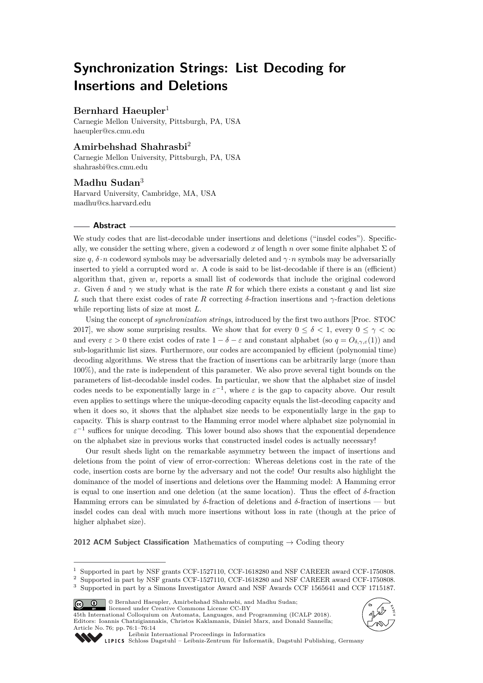# **Synchronization Strings: List Decoding for Insertions and Deletions**

# **Bernhard Haeupler**<sup>1</sup>

Carnegie Mellon University, Pittsburgh, PA, USA [haeupler@cs.cmu.edu](mailto:haeupler@cs.cmu.edu)

# **Amirbehshad Shahrasbi**<sup>2</sup>

Carnegie Mellon University, Pittsburgh, PA, USA [shahrasbi@cs.cmu.edu](mailto:shahrasbi@cs.cmu.edu)

### **Madhu Sudan**<sup>3</sup>

Harvard University, Cambridge, MA, USA [madhu@cs.harvard.edu](mailto:madhu@cs.harvard.edu)

### **Abstract**

We study codes that are list-decodable under insertions and deletions ("insdel codes"). Specifically, we consider the setting where, given a codeword x of length  $n$  over some finite alphabet  $\Sigma$  of size *q*,  $\delta \cdot n$  codeword symbols may be adversarially deleted and  $\gamma \cdot n$  symbols may be adversarially inserted to yield a corrupted word *w*. A code is said to be list-decodable if there is an (efficient) algorithm that, given *w*, reports a small list of codewords that include the original codeword *x*. Given  $\delta$  and  $\gamma$  we study what is the rate *R* for which there exists a constant *q* and list size *L* such that there exist codes of rate *R* correcting  $\delta$ -fraction insertions and *γ*-fraction deletions while reporting lists of size at most *L*.

Using the concept of *synchronization strings*, introduced by the first two authors [Proc. STOC 2017], we show some surprising results. We show that for every  $0 \le \delta \le 1$ , every  $0 \le \gamma \le \infty$ and every  $\varepsilon > 0$  there exist codes of rate  $1 - \delta - \varepsilon$  and constant alphabet (so  $q = O_{\delta, \gamma, \varepsilon}(1)$ ) and sub-logarithmic list sizes. Furthermore, our codes are accompanied by efficient (polynomial time) decoding algorithms. We stress that the fraction of insertions can be arbitrarily large (more than 100%), and the rate is independent of this parameter. We also prove several tight bounds on the parameters of list-decodable insdel codes. In particular, we show that the alphabet size of insdel codes needs to be exponentially large in  $\varepsilon^{-1}$ , where  $\varepsilon$  is the gap to capacity above. Our result even applies to settings where the unique-decoding capacity equals the list-decoding capacity and when it does so, it shows that the alphabet size needs to be exponentially large in the gap to capacity. This is sharp contrast to the Hamming error model where alphabet size polynomial in  $\varepsilon^{-1}$  suffices for unique decoding. This lower bound also shows that the exponential dependence on the alphabet size in previous works that constructed insdel codes is actually necessary!

Our result sheds light on the remarkable asymmetry between the impact of insertions and deletions from the point of view of error-correction: Whereas deletions cost in the rate of the code, insertion costs are borne by the adversary and not the code! Our results also highlight the dominance of the model of insertions and deletions over the Hamming model: A Hamming error is equal to one insertion and one deletion (at the same location). Thus the effect of *δ*-fraction Hamming errors can be simulated by *δ*-fraction of deletions and *δ*-fraction of insertions — but insdel codes can deal with much more insertions without loss in rate (though at the price of higher alphabet size).

**2012 ACM Subject Classification** Mathematics of computing → Coding theory

© Bernhard Haeupler, Amirbehshad Shahrasbi, and Madhu Sudan;  $\boxed{6}$   $\boxed{0}$ 

licensed under Creative Commons License CC-BY 45th International Colloquium on Automata, Languages, and Programming (ICALP 2018). Editors: Ioannis Chatzigiannakis, Christos Kaklamanis, Dániel Marx, and Donald Sannella; Article No. 76; pp. 76:1–76[:14](#page-13-0)





[Leibniz International Proceedings in Informatics](http://www.dagstuhl.de/lipics/)

[Schloss Dagstuhl – Leibniz-Zentrum für Informatik, Dagstuhl Publishing, Germany](http://www.dagstuhl.de)

<sup>&</sup>lt;sup>1</sup> Supported in part by NSF grants CCF-1527110, CCF-1618280 and NSF CAREER award CCF-1750808.<br><sup>2</sup> Supported in part by NSF grants CCF-1527110, CCF-1618280 and NSF CAREER award CCF-1750808.

<sup>2</sup> Supported in part by NSF grants CCF-1527110, CCF-1618280 and NSF CAREER award CCF-1750808.

<sup>3</sup> Supported in part by a Simons Investigator Award and NSF Awards CCF 1565641 and CCF 1715187.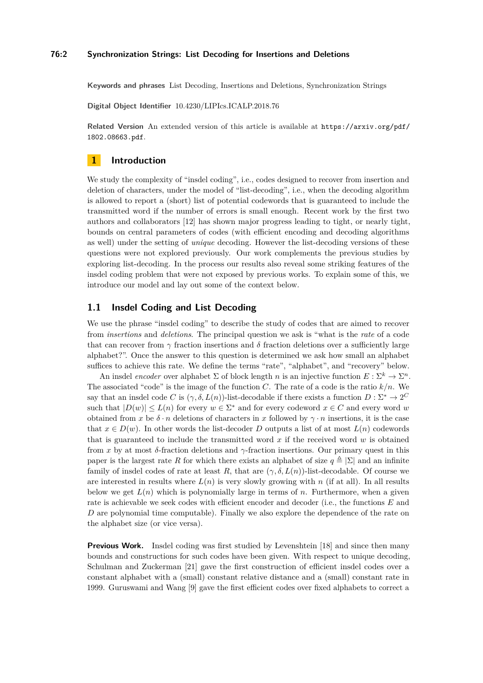#### **76:2 Synchronization Strings: List Decoding for Insertions and Deletions**

**Keywords and phrases** List Decoding, Insertions and Deletions, Synchronization Strings

**Digital Object Identifier** [10.4230/LIPIcs.ICALP.2018.76](http://dx.doi.org/10.4230/LIPIcs.ICALP.2018.76)

**Related Version** An extended version of this article is available at [https://arxiv.org/pdf/](https://arxiv.org/pdf/1802.08663.pdf) [1802.08663.pdf](https://arxiv.org/pdf/1802.08663.pdf).

### **1 Introduction**

We study the complexity of "insdel coding", i.e., codes designed to recover from insertion and deletion of characters, under the model of "list-decoding", i.e., when the decoding algorithm is allowed to report a (short) list of potential codewords that is guaranteed to include the transmitted word if the number of errors is small enough. Recent work by the first two authors and collaborators [\[12\]](#page-12-0) has shown major progress leading to tight, or nearly tight, bounds on central parameters of codes (with efficient encoding and decoding algorithms as well) under the setting of *unique* decoding. However the list-decoding versions of these questions were not explored previously. Our work complements the previous studies by exploring list-decoding. In the process our results also reveal some striking features of the insdel coding problem that were not exposed by previous works. To explain some of this, we introduce our model and lay out some of the context below.

# **1.1 Insdel Coding and List Decoding**

We use the phrase "insdel coding" to describe the study of codes that are aimed to recover from *insertions* and *deletions*. The principal question we ask is "what is the *rate* of a code that can recover from  $\gamma$  fraction insertions and  $\delta$  fraction deletions over a sufficiently large alphabet?". Once the answer to this question is determined we ask how small an alphabet suffices to achieve this rate. We define the terms "rate", "alphabet", and "recovery" below.

An insdel *encoder* over alphabet  $\Sigma$  of block length *n* is an injective function  $E: \Sigma^k \to \Sigma^n$ . The associated "code" is the image of the function *C*. The rate of a code is the ratio *k/n*. We say that an insdel code *C* is  $(\gamma, \delta, L(n))$ -list-decodable if there exists a function  $D: \Sigma^* \to 2^C$ such that  $|D(w)| \le L(n)$  for every  $w \in \Sigma^*$  and for every codeword  $x \in C$  and every word *w* obtained from *x* be  $\delta \cdot n$  deletions of characters in *x* followed by  $\gamma \cdot n$  insertions, it is the case that  $x \in D(w)$ . In other words the list-decoder *D* outputs a list of at most  $L(n)$  codewords that is guaranteed to include the transmitted word *x* if the received word *w* is obtained from *x* by at most *δ*-fraction deletions and *γ*-fraction insertions. Our primary quest in this paper is the largest rate *R* for which there exists an alphabet of size  $q \triangleq |\Sigma|$  and an infinite family of insdel codes of rate at least R, that are  $(\gamma, \delta, L(n))$ -list-decodable. Of course we are interested in results where  $L(n)$  is very slowly growing with *n* (if at all). In all results below we get  $L(n)$  which is polynomially large in terms of *n*. Furthermore, when a given rate is achievable we seek codes with efficient encoder and decoder (i.e., the functions *E* and *D* are polynomial time computable). Finally we also explore the dependence of the rate on the alphabet size (or vice versa).

**Previous Work.** Insdel coding was first studied by Levenshtein [\[18\]](#page-13-1) and since then many bounds and constructions for such codes have been given. With respect to unique decoding, Schulman and Zuckerman [\[21\]](#page-13-2) gave the first construction of efficient insdel codes over a constant alphabet with a (small) constant relative distance and a (small) constant rate in 1999. Guruswami and Wang [\[9\]](#page-12-1) gave the first efficient codes over fixed alphabets to correct a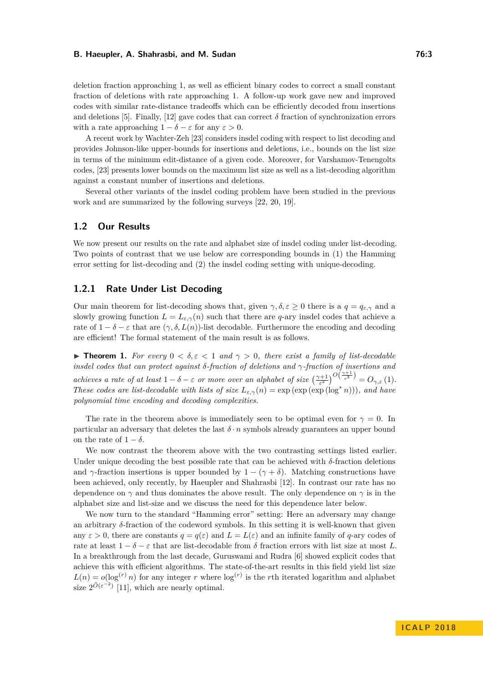deletion fraction approaching 1, as well as efficient binary codes to correct a small constant fraction of deletions with rate approaching 1. A follow-up work gave new and improved codes with similar rate-distance tradeoffs which can be efficiently decoded from insertions and deletions [\[5\]](#page-12-2). Finally, [\[12\]](#page-12-0) gave codes that can correct  $\delta$  fraction of synchronization errors with a rate approaching  $1 - \delta - \varepsilon$  for any  $\varepsilon > 0$ .

A recent work by Wachter-Zeh [\[23\]](#page-13-3) considers insdel coding with respect to list decoding and provides Johnson-like upper-bounds for insertions and deletions, i.e., bounds on the list size in terms of the minimum edit-distance of a given code. Moreover, for Varshamov-Tenengolts codes, [\[23\]](#page-13-3) presents lower bounds on the maximum list size as well as a list-decoding algorithm against a constant number of insertions and deletions.

Several other variants of the insdel coding problem have been studied in the previous work and are summarized by the following surveys [\[22,](#page-13-4) [20,](#page-13-5) [19\]](#page-13-6).

# **1.2 Our Results**

We now present our results on the rate and alphabet size of insdel coding under list-decoding. Two points of contrast that we use below are corresponding bounds in (1) the Hamming error setting for list-decoding and (2) the insdel coding setting with unique-decoding.

### **1.2.1 Rate Under List Decoding**

Our main theorem for list-decoding shows that, given  $\gamma, \delta, \varepsilon \geq 0$  there is a  $q = q_{\varepsilon,\gamma}$  and a slowly growing function  $L = L_{\varepsilon,\gamma}(n)$  such that there are *q*-ary insdel codes that achieve a rate of  $1 - \delta - \varepsilon$  that are  $(\gamma, \delta, L(n))$ -list decodable. Furthermore the encoding and decoding are efficient! The formal statement of the main result is as follows.

<span id="page-2-0"></span>**Find 1.** For every  $0 < \delta, \varepsilon < 1$  and  $\gamma > 0$ , there exist a family of list-decodable *insdel codes that can protect against δ-fraction of deletions and γ-fraction of insertions and achieves a rate of at least*  $1 - \delta - \varepsilon$  *or more over an alphabet of size*  $\left(\frac{\gamma + 1}{\varepsilon^2}\right)^{O\left(\frac{\gamma + 1}{\varepsilon^3}\right)} = O_{\gamma, \varepsilon}(1)$ . *These codes are list-decodable with lists of size*  $L_{\varepsilon,\gamma}(n) = \exp(\exp(\exp(\log^* n)))$ *, and have polynomial time encoding and decoding complexities.*

The rate in the theorem above is immediately seen to be optimal even for  $\gamma = 0$ . In particular an adversary that deletes the last  $\delta \cdot n$  symbols already guarantees an upper bound on the rate of  $1 - \delta$ .

We now contrast the theorem above with the two contrasting settings listed earlier. Under unique decoding the best possible rate that can be achieved with *δ*-fraction deletions and  $\gamma$ -fraction insertions is upper bounded by  $1 - (\gamma + \delta)$ . Matching constructions have been achieved, only recently, by Haeupler and Shahrasbi [\[12\]](#page-12-0). In contrast our rate has no dependence on *γ* and thus dominates the above result. The only dependence on *γ* is in the alphabet size and list-size and we discuss the need for this dependence later below.

We now turn to the standard "Hamming error" setting: Here an adversary may change an arbitrary *δ*-fraction of the codeword symbols. In this setting it is well-known that given any  $\varepsilon > 0$ , there are constants  $q = q(\varepsilon)$  and  $L = L(\varepsilon)$  and an infinite family of *q*-ary codes of rate at least  $1 - \delta - \varepsilon$  that are list-decodable from  $\delta$  fraction errors with list size at most L. In a breakthrough from the last decade, Guruswami and Rudra [\[6\]](#page-12-3) showed explicit codes that achieve this with efficient algorithms. The state-of-the-art results in this field yield list size  $L(n) = o(\log^{(r)} n)$  for any integer *r* where  $\log^{(r)}$  is the *r*th iterated logarithm and alphabet size  $2^{\tilde{O}(\varepsilon^{-2})}$  [\[11\]](#page-12-4), which are nearly optimal.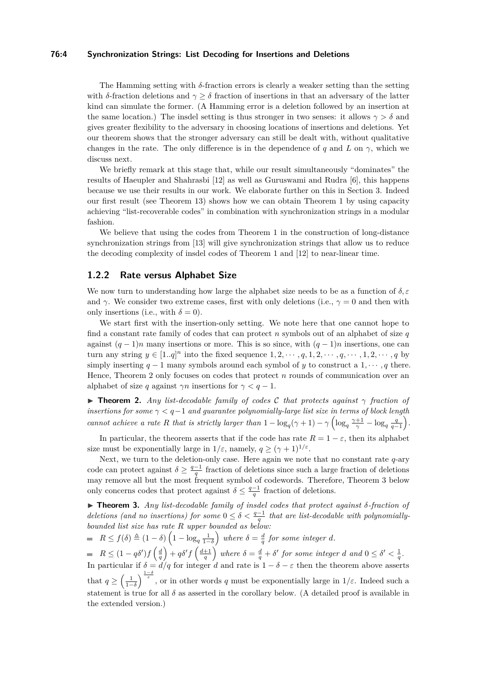#### **76:4 Synchronization Strings: List Decoding for Insertions and Deletions**

The Hamming setting with *δ*-fraction errors is clearly a weaker setting than the setting with *δ*-fraction deletions and  $\gamma \geq \delta$  fraction of insertions in that an adversary of the latter kind can simulate the former. (A Hamming error is a deletion followed by an insertion at the same location.) The insdel setting is thus stronger in two senses: it allows  $\gamma > \delta$  and gives greater flexibility to the adversary in choosing locations of insertions and deletions. Yet our theorem shows that the stronger adversary can still be dealt with, without qualitative changes in the rate. The only difference is in the dependence of *q* and *L* on  $\gamma$ , which we discuss next.

We briefly remark at this stage that, while our result simultaneously "dominates" the results of Haeupler and Shahrasbi [\[12\]](#page-12-0) as well as Guruswami and Rudra [\[6\]](#page-12-3), this happens because we use their results in our work. We elaborate further on this in Section [3.](#page-6-0) Indeed our first result (see Theorem [13\)](#page-6-1) shows how we can obtain Theorem [1](#page-2-0) by using capacity achieving "list-recoverable codes" in combination with synchronization strings in a modular fashion.

We believe that using the codes from Theorem [1](#page-2-0) in the construction of long-distance synchronization strings from [\[13\]](#page-12-5) will give synchronization strings that allow us to reduce the decoding complexity of insdel codes of Theorem [1](#page-2-0) and [\[12\]](#page-12-0) to near-linear time.

### **1.2.2 Rate versus Alphabet Size**

We now turn to understanding how large the alphabet size needs to be as a function of *δ, ε* and  $\gamma$ . We consider two extreme cases, first with only deletions (i.e.,  $\gamma = 0$  and then with only insertions (i.e., with  $\delta = 0$ ).

We start first with the insertion-only setting. We note here that one cannot hope to find a constant rate family of codes that can protect *n* symbols out of an alphabet of size *q* against  $(q-1)n$  many insertions or more. This is so since, with  $(q-1)n$  insertions, one can turn any string  $y \in [1..q]^n$  into the fixed sequence  $1, 2, \dots, q, 1, 2, \dots, q, \dots, 1, 2, \dots, q$  by simply inserting  $q-1$  many symbols around each symbol of *y* to construct a  $1, \dots, q$  there. Hence, Theorem [2](#page-3-0) only focuses on codes that protect *n* rounds of communication over an alphabet of size *q* against  $\gamma n$  insertions for  $\gamma < q - 1$ .

<span id="page-3-0"></span>I **Theorem 2.** *Any list-decodable family of codes* C *that protects against γ fraction of insertions for some γ < q*−1 *and guarantee polynomially-large list size in terms of block length cannot achieve a rate R that is strictly larger than*  $1 - \log_q(\gamma + 1) - \gamma \left( \log_q \frac{\gamma + 1}{\gamma} - \log_q \frac{q}{q-1} \right)$ .

In particular, the theorem asserts that if the code has rate  $R = 1 - \varepsilon$ , then its alphabet size must be exponentially large in  $1/\varepsilon$ , namely,  $q \geq (\gamma + 1)^{1/\varepsilon}$ .

Next, we turn to the deletion-only case. Here again we note that no constant rate *q*-ary code can protect against  $\delta \geq \frac{q-1}{q}$  fraction of deletions since such a large fraction of deletions may remove all but the most frequent symbol of codewords. Therefore, Theorem [3](#page-3-1) below only concerns codes that protect against  $\delta \leq \frac{q-1}{q}$  fraction of deletions.

<span id="page-3-1"></span>I **Theorem 3.** *Any list-decodable family of insdel codes that protect against δ-fraction of deletions (and no insertions) for some*  $0 \leq \delta < \frac{q-1}{q}$  that are list-decodable with polynomially*bounded list size has rate R upper bounded as below:*

 $R \le f(\delta) \triangleq (1 - \delta) \left(1 - \log_q \frac{1}{1 - \delta}\right)$  where  $\delta = \frac{d}{q}$  for some integer *d*.

 $R \leq (1-q\delta')f\left(\frac{d}{q}\right) + q\delta'f\left(\frac{d+1}{q}\right)$  where  $\delta = \frac{d}{q} + \delta'$  for some integer d and  $0 \leq \delta' < \frac{1}{q}$ . In particular if  $\delta = d/q$  for integer *d* and rate is  $1 - \delta - \varepsilon$  then the theorem above asserts that  $q \geq \left(\frac{1}{1-\delta}\right)^{\frac{1-\delta}{\varepsilon}}$ , or in other words *q* must be exponentially large in  $1/\varepsilon$ . Indeed such a statement is true for all  $\delta$  as asserted in the corollary below. (A detailed proof is available in the extended version.)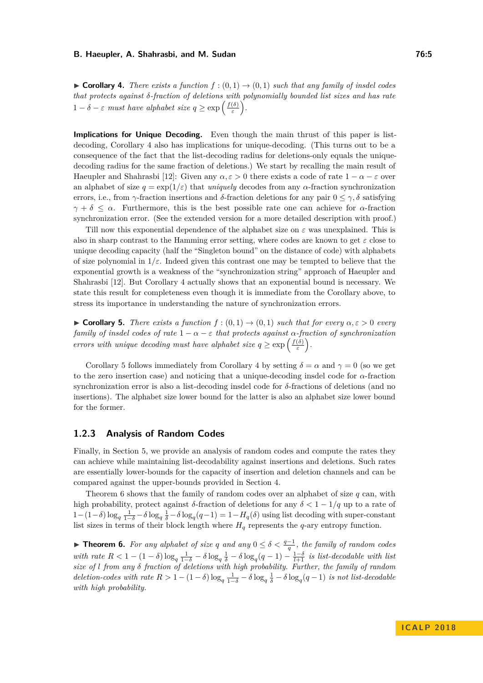<span id="page-4-0"></span> $\triangleright$  **Corollary 4.** *There exists a function*  $f:(0,1) \rightarrow (0,1)$  *such that any family of insdel codes that protects against δ-fraction of deletions with polynomially bounded list sizes and has rate* 1 − *δ* − *ε must* have alphabet size  $q \geq \exp\left(\frac{f(\delta)}{s}\right)$ *ε .*

**Implications for Unique Decoding.** Even though the main thrust of this paper is listdecoding, Corollary [4](#page-4-0) also has implications for unique-decoding. (This turns out to be a consequence of the fact that the list-decoding radius for deletions-only equals the uniquedecoding radius for the same fraction of deletions.) We start by recalling the main result of Haeupler and Shahrasbi [\[12\]](#page-12-0): Given any  $\alpha, \varepsilon > 0$  there exists a code of rate  $1 - \alpha - \varepsilon$  over an alphabet of size  $q = \exp(1/\varepsilon)$  that *uniquely* decodes from any  $\alpha$ -fraction synchronization errors, i.e., from *γ*-fraction insertions and *δ*-fraction deletions for any pair  $0 \leq \gamma$ , *δ* satisfying *γ* + *δ*  $\leq$  *α*. Furthermore, this is the best possible rate one can achieve for *α*-fraction synchronization error. (See the extended version for a more detailed description with proof.)

Till now this exponential dependence of the alphabet size on *ε* was unexplained. This is also in sharp contrast to the Hamming error setting, where codes are known to get  $\varepsilon$  close to unique decoding capacity (half the "Singleton bound" on the distance of code) with alphabets of size polynomial in  $1/\varepsilon$ . Indeed given this contrast one may be tempted to believe that the exponential growth is a weakness of the "synchronization string" approach of Haeupler and Shahrasbi [\[12\]](#page-12-0). But Corollary [4](#page-4-0) actually shows that an exponential bound is necessary. We state this result for completeness even though it is immediate from the Corollary above, to stress its importance in understanding the nature of synchronization errors.

<span id="page-4-1"></span> $\triangleright$  **Corollary 5.** *There exists a function f* : (0,1) → (0,1) *such that for every*  $\alpha$ ,  $\epsilon$  > 0 *every family of insdel codes of rate*  $1 - \alpha - \varepsilon$  *that protects against*  $\alpha$ -fraction of synchronization *errors with unique decoding must have alphabet size*  $q \geq \exp\left(\frac{f(\delta)}{\varepsilon}\right)$ *ε .*

Corollary [5](#page-4-1) follows immediately from Corollary [4](#page-4-0) by setting  $\delta = \alpha$  and  $\gamma = 0$  (so we get to the zero insertion case) and noticing that a unique-decoding insdel code for *α*-fraction synchronization error is also a list-decoding insdel code for *δ*-fractions of deletions (and no insertions). The alphabet size lower bound for the latter is also an alphabet size lower bound for the former.

## **1.2.3 Analysis of Random Codes**

Finally, in Section [5,](#page-11-0) we provide an analysis of random codes and compute the rates they can achieve while maintaining list-decodability against insertions and deletions. Such rates are essentially lower-bounds for the capacity of insertion and deletion channels and can be compared against the upper-bounds provided in Section [4.](#page-9-0)

Theorem [6](#page-4-2) shows that the family of random codes over an alphabet of size *q* can, with high probability, protect against  $\delta$ -fraction of deletions for any  $\delta < 1 - 1/q$  up to a rate of  $1-(1-δ)log<sub>q</sub>$ <sub>1→δ</sub> − δ $log<sub>q</sub>$ <sub>δ</sub> − δ $log<sub>q</sub>(q-1) = 1 - H<sub>q</sub>(δ)$  using list decoding with super-constant list sizes in terms of their block length where *H<sup>q</sup>* represents the *q*-ary entropy function.

<span id="page-4-2"></span>**► Theorem 6.** For any alphabet of size q and any  $0 \leq \delta < \frac{q-1}{q}$ , the family of random codes *with rate*  $R < 1 - (1 - \delta) \log_q \frac{1}{1-\delta} - \delta \log_q \frac{1}{\delta} - \delta \log_q (q-1) - \frac{1-\delta}{l+1}$  *is list-decodable with list size of l from any δ fraction of deletions with high probability. Further, the family of random*  $deletion-codes\ with\ rate\ R > 1 - (1 - \delta) \log_q \frac{1}{1-\delta} - \delta \log_q \frac{1}{\delta} - \delta \log_q (q-1)$  *is not list-decodable with high probability.*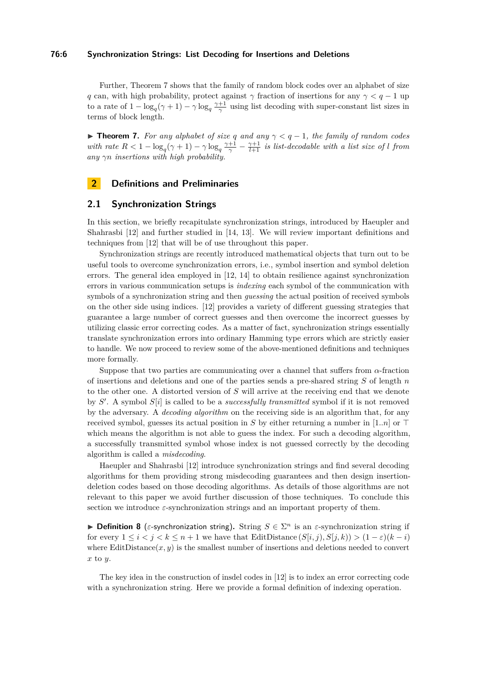#### **76:6 Synchronization Strings: List Decoding for Insertions and Deletions**

Further, Theorem [7](#page-5-0) shows that the family of random block codes over an alphabet of size *q* can, with high probability, protect against  $\gamma$  fraction of insertions for any  $\gamma < q - 1$  up to a rate of  $1 - \log_q(\gamma + 1) - \gamma \log_q \frac{\gamma + 1}{\gamma}$  using list decoding with super-constant list sizes in terms of block length.

<span id="page-5-0"></span>**► Theorem 7.** For any alphabet of size  $q$  and any  $\gamma$  <  $q$  − 1, the family of random codes *with rate*  $R < 1 - \log_q(\gamma + 1) - \gamma \log_q \frac{\gamma + 1}{\gamma} - \frac{\gamma + 1}{l+1}$  *is list-decodable with a list size of l from any γn insertions with high probability.*

# **2 Definitions and Preliminaries**

### **2.1 Synchronization Strings**

In this section, we briefly recapitulate synchronization strings, introduced by Haeupler and Shahrasbi [\[12\]](#page-12-0) and further studied in [\[14,](#page-12-6) [13\]](#page-12-5). We will review important definitions and techniques from [\[12\]](#page-12-0) that will be of use throughout this paper.

Synchronization strings are recently introduced mathematical objects that turn out to be useful tools to overcome synchronization errors, i.e., symbol insertion and symbol deletion errors. The general idea employed in [\[12,](#page-12-0) [14\]](#page-12-6) to obtain resilience against synchronization errors in various communication setups is *indexing* each symbol of the communication with symbols of a synchronization string and then *guessing* the actual position of received symbols on the other side using indices. [\[12\]](#page-12-0) provides a variety of different guessing strategies that guarantee a large number of correct guesses and then overcome the incorrect guesses by utilizing classic error correcting codes. As a matter of fact, synchronization strings essentially translate synchronization errors into ordinary Hamming type errors which are strictly easier to handle. We now proceed to review some of the above-mentioned definitions and techniques more formally.

Suppose that two parties are communicating over a channel that suffers from *α*-fraction of insertions and deletions and one of the parties sends a pre-shared string *S* of length *n* to the other one. A distorted version of *S* will arrive at the receiving end that we denote by *S'*. A symbol *S*[*i*] is called to be a *successfully transmitted* symbol if it is not removed by the adversary. A *decoding algorithm* on the receiving side is an algorithm that, for any received symbol, guesses its actual position in *S* by either returning a number in [1..*n*] or  $\top$ which means the algorithm is not able to guess the index. For such a decoding algorithm, a successfully transmitted symbol whose index is not guessed correctly by the decoding algorithm is called a *misdecoding*.

Haeupler and Shahrasbi [\[12\]](#page-12-0) introduce synchronization strings and find several decoding algorithms for them providing strong misdecoding guarantees and then design insertiondeletion codes based on those decoding algorithms. As details of those algorithms are not relevant to this paper we avoid further discussion of those techniques. To conclude this section we introduce  $\varepsilon$ -synchronization strings and an important property of them.

**▶ Definition 8** (*ε*-synchronization string). String  $S \in \Sigma^n$  is an *ε*-synchronization string if for every  $1 \leq i < j < k \leq n+1$  we have that EditDistance  $(S[i, j), S[j, k)) > (1 - \varepsilon)(k - i)$ where  $Edit Distance(x, y)$  is the smallest number of insertions and deletions needed to convert *x* to *y*.

The key idea in the construction of insdel codes in [\[12\]](#page-12-0) is to index an error correcting code with a synchronization string. Here we provide a formal definition of indexing operation.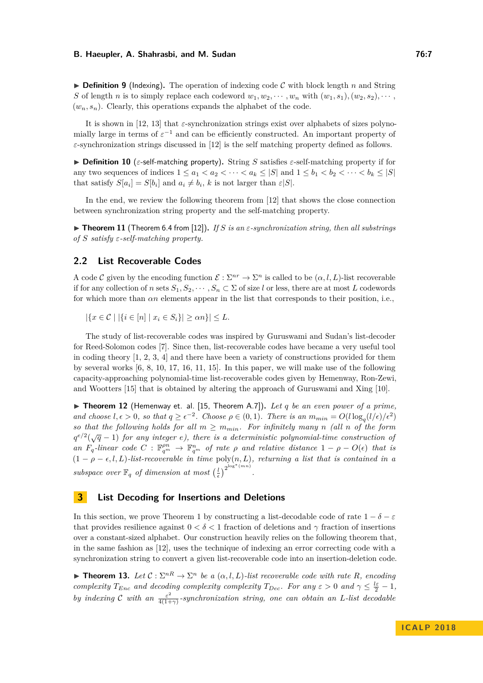**Definition 9** (Indexing). The operation of indexing code C with block length *n* and String *S* of length *n* is to simply replace each codeword  $w_1, w_2, \cdots, w_n$  with  $(w_1, s_1), (w_2, s_2), \cdots$  $(w_n, s_n)$ . Clearly, this operations expands the alphabet of the code.

It is shown in [\[12,](#page-12-0) [13\]](#page-12-5) that  $\varepsilon$ -synchronization strings exist over alphabets of sizes polynomially large in terms of  $\varepsilon^{-1}$  and can be efficiently constructed. An important property of *ε*-synchronization strings discussed in [\[12\]](#page-12-0) is the self matching property defined as follows.

**Definition 10** (*ε*-self-matching property). String *S* satisfies *ε*-self-matching property if for any two sequences of indices  $1 \le a_1 < a_2 < \cdots < a_k \le |S|$  and  $1 \le b_1 < b_2 < \cdots < b_k \le |S|$ that satisfy  $S[a_i] = S[b_i]$  and  $a_i \neq b_i$ , *k* is not larger than  $\varepsilon |S|$ .

In the end, we review the following theorem from [\[12\]](#page-12-0) that shows the close connection between synchronization string property and the self-matching property.

<span id="page-6-2"></span>I **Theorem 11** (Theorem 6.4 from [\[12\]](#page-12-0))**.** *If S is an ε-synchronization string, then all substrings of S satisfy ε-self-matching property.*

# **2.2 List Recoverable Codes**

A code C given by the encoding function  $\mathcal{E}: \Sigma^{nr} \to \Sigma^n$  is called to be  $(\alpha, l, L)$ -list recoverable if for any collection of *n* sets  $S_1, S_2, \cdots, S_n \subset \Sigma$  of size *l* or less, there are at most *L* codewords for which more than  $\alpha n$  elements appear in the list that corresponds to their position, i.e.,

 $|\{x \in C \mid |\{i \in [n] \mid x_i \in S_i\}| \ge \alpha n\}| \le L.$ 

The study of list-recoverable codes was inspired by Guruswami and Sudan's list-decoder for Reed-Solomon codes [\[7\]](#page-12-7). Since then, list-recoverable codes have became a very useful tool in coding theory [\[1,](#page-12-8) [2,](#page-12-9) [3,](#page-12-10) [4\]](#page-12-11) and there have been a variety of constructions provided for them by several works [\[6,](#page-12-3) [8,](#page-12-12) [10,](#page-12-13) [17,](#page-13-7) [16,](#page-13-8) [11,](#page-12-4) [15\]](#page-12-14). In this paper, we will make use of the following capacity-approaching polynomial-time list-recoverable codes given by Hemenway, Ron-Zewi, and Wootters [\[15\]](#page-12-14) that is obtained by altering the approach of Guruswami and Xing [\[10\]](#page-12-13).

<span id="page-6-3"></span> $\triangleright$  **Theorem 12** (Hemenway et. al. [\[15,](#page-12-14) Theorem A.7]). Let q be an even power of a prime, *and choose*  $l, \epsilon > 0$ *, so that*  $q \geq \epsilon^{-2}$ *. Choose*  $\rho \in (0, 1)$ *. There is an*  $m_{min} = O(l \log_q(l/\epsilon)/\epsilon^2)$ *so that the following holds for all*  $m \geq m_{min}$ *. For infinitely many n (all n of the form*  $q^{e/2}(\sqrt{q}-1)$  *for any integer e), there is a deterministic polynomial-time construction of an*  $F_q$ -linear code  $C$  :  $\mathbb{F}_{q^m}^{pn} \to \mathbb{F}_{q^m}^n$  of rate  $\rho$  and relative distance  $1 - \rho - O(\epsilon)$  that is  $(1 - \rho - \epsilon, l, L)$ *-list-recoverable in time* poly $(n, L)$ *, returning a list that is contained in a*  $subspace over \mathbb{F}_q$  *of dimension at most*  $\left(\frac{l}{\epsilon}\right)^{2^{\log^*(mn)}}$ .

# <span id="page-6-0"></span>**3 List Decoding for Insertions and Deletions**

In this section, we prove Theorem [1](#page-2-0) by constructing a list-decodable code of rate  $1 - \delta - \varepsilon$ that provides resilience against  $0 < \delta < 1$  fraction of deletions and  $\gamma$  fraction of insertions over a constant-sized alphabet. Our construction heavily relies on the following theorem that, in the same fashion as [\[12\]](#page-12-0), uses the technique of indexing an error correcting code with a synchronization string to convert a given list-recoverable code into an insertion-deletion code.

<span id="page-6-1"></span>**Theorem 13.** Let  $C : \Sigma^{nR} \to \Sigma^n$  be a  $(\alpha, l, L)$ -list recoverable code with rate R, encoding *complexity*  $T_{Enc}$  *and decoding complexity complexity*  $T_{Dec}$ *. For any*  $\varepsilon > 0$  *and*  $\gamma \leq \frac{l\varepsilon}{2} - 1$ *, by indexing* C *with* an  $\frac{\varepsilon^2}{4(1+1)}$ 4(1+*γ*) *-synchronization string, one can obtain an L-list decodable*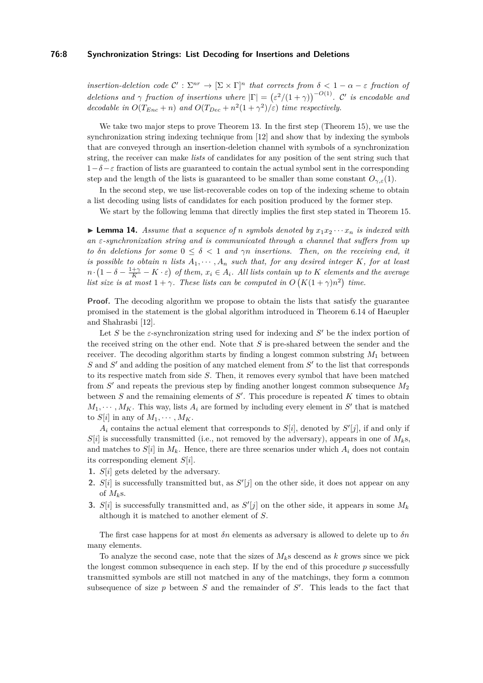#### **76:8 Synchronization Strings: List Decoding for Insertions and Deletions**

*insertion-deletion code*  $\mathcal{C}' : \Sigma^{nr} \to [\Sigma \times \Gamma]^n$  *that corrects from*  $\delta < 1 - \alpha - \varepsilon$  *fraction of deletions and*  $\gamma$  *fraction of insertions where*  $|\Gamma| = (\varepsilon^2/(1+\gamma))^{-O(1)}$ . C' *is encodable and decodable in*  $O(T_{Enc} + n)$  *and*  $O(T_{Dec} + n^2(1 + \gamma^2)/\varepsilon)$  *time respectively.* 

We take two major steps to prove Theorem [13.](#page-6-1) In the first step (Theorem [15\)](#page-8-0), we use the synchronization string indexing technique from [\[12\]](#page-12-0) and show that by indexing the symbols that are conveyed through an insertion-deletion channel with symbols of a synchronization string, the receiver can make *lists* of candidates for any position of the sent string such that 1−*δ*−*ε* fraction of lists are guaranteed to contain the actual symbol sent in the corresponding step and the length of the lists is guaranteed to be smaller than some constant  $O_{\gamma,\varepsilon}(1)$ .

In the second step, we use list-recoverable codes on top of the indexing scheme to obtain a list decoding using lists of candidates for each position produced by the former step.

We start by the following lemma that directly implies the first step stated in Theorem [15.](#page-8-0)

<span id="page-7-0"></span> $\blacktriangleright$  **Lemma 14.** *Assume that a sequence of n symbols denoted by*  $x_1x_2 \cdots x_n$  *is indexed with an ε-synchronization string and is communicated through a channel that suffers from up to δn* deletions for some  $0 \le \delta < 1$  and  $\gamma n$  insertions. Then, on the receiving end, it *is possible to obtain n lists*  $A_1, \cdots, A_n$  *such that, for any desired integer*  $K$ *, for at least*  $n \cdot (1 - \delta - \frac{1+\gamma}{K} - K \cdot \varepsilon)$  of them,  $x_i \in A_i$ . All lists contain up to K elements and the average *list size is at most*  $1 + \gamma$ *. These lists can be computed in*  $O(K(1 + \gamma)n^2)$  *time.* 

**Proof.** The decoding algorithm we propose to obtain the lists that satisfy the guarantee promised in the statement is the global algorithm introduced in Theorem 6.14 of Haeupler and Shahrasbi [\[12\]](#page-12-0).

Let  $S$  be the  $\varepsilon$ -synchronization string used for indexing and  $S'$  be the index portion of the received string on the other end. Note that *S* is pre-shared between the sender and the receiver. The decoding algorithm starts by finding a longest common substring  $M_1$  between S and S' and adding the position of any matched element from S' to the list that corresponds to its respective match from side *S*. Then, it removes every symbol that have been matched from  $S'$  and repeats the previous step by finding another longest common subsequence  $M_2$ between  $S$  and the remaining elements of  $S'$ . This procedure is repeated  $K$  times to obtain  $M_1, \cdots, M_K$ . This way, lists  $A_i$  are formed by including every element in  $S'$  that is matched to  $S[i]$  in any of  $M_1, \cdots, M_K$ .

 $A_i$  contains the actual element that corresponds to  $S[i]$ , denoted by  $S'[j]$ , if and only if  $S[i]$  is successfully transmitted (i.e., not removed by the adversary), appears in one of  $M_k$ s, and matches to  $S[i]$  in  $M_k$ . Hence, there are three scenarios under which  $A_i$  does not contain its corresponding element *S*[*i*].

- **1.** *S*[*i*] gets deleted by the adversary.
- **2.**  $S[i]$  is successfully transmitted but, as  $S'[j]$  on the other side, it does not appear on any of  $M_k$ s.
- **3.**  $S[i]$  is successfully transmitted and, as  $S'[j]$  on the other side, it appears in some  $M_k$ although it is matched to another element of *S*.

The first case happens for at most *δn* elements as adversary is allowed to delete up to *δn* many elements.

To analyze the second case, note that the sizes of  $M_k$ s descend as  $k$  grows since we pick the longest common subsequence in each step. If by the end of this procedure *p* successfully transmitted symbols are still not matched in any of the matchings, they form a common subsequence of size  $p$  between  $S$  and the remainder of  $S'$ . This leads to the fact that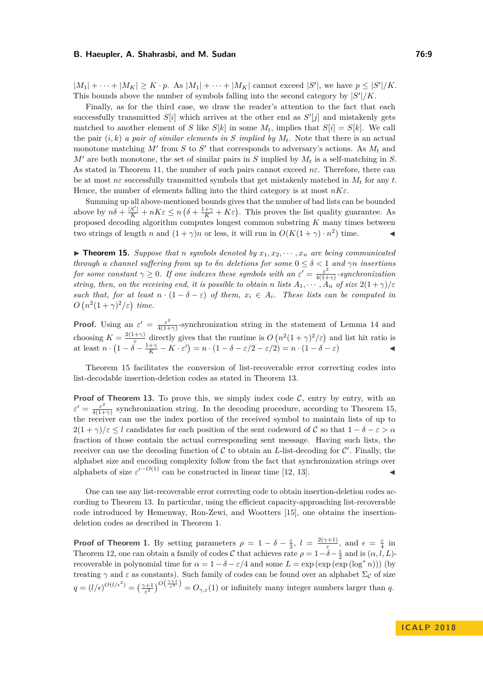$|M_1| + \cdots + |M_K| \ge K \cdot p$ . As  $|M_1| + \cdots + |M_K|$  cannot exceed  $|S'|$ , we have  $p \le |S'|/K$ . This bounds above the number of symbols falling into the second category by  $|S'|/K$ .

Finally, as for the third case, we draw the reader's attention to the fact that each successfully transmitted  $S[i]$  which arrives at the other end as  $S'[j]$  and mistakenly gets matched to another element of *S* like  $S[k]$  in some  $M_t$ , implies that  $S[i] = S[k]$ . We call the pair  $(i, k)$  *a pair of similar elements in S implied by*  $M_t$ . Note that there is an actual monotone matching  $M'$  from  $S$  to  $S'$  that corresponds to adversary's actions. As  $M_t$  and  $M'$  are both monotone, the set of similar pairs in *S* implied by  $M_t$  is a self-matching in *S*. As stated in Theorem [11,](#page-6-2) the number of such pairs cannot exceed  $n\varepsilon$ . Therefore, there can be at most  $n\varepsilon$  successfully transmitted symbols that get mistakenly matched in  $M_t$  for any  $t$ . Hence, the number of elements falling into the third category is at most *nKε*.

Summing up all above-mentioned bounds gives that the number of bad lists can be bounded above by  $n\delta + \frac{|S'|}{K} + nK\varepsilon \le n(\delta + \frac{1+\gamma}{K} + K\varepsilon)$ . This proves the list quality guarantee. As proposed decoding algorithm computes longest common substring *K* many times between two strings of length *n* and  $(1 + \gamma)n$  or less, it will run in  $O(K(1 + \gamma) \cdot n^2)$  time.

<span id="page-8-0"></span> $\triangleright$  **Theorem 15.** *Suppose that n symbols denoted by*  $x_1, x_2, \cdots, x_n$  *are being communicated through a channel suffering from up to*  $\delta n$  *deletions for some*  $0 \leq \delta < 1$  *and*  $\gamma n$  *insertions for some constant*  $\gamma \geq 0$ *. If one indexes these symbols with an*  $\varepsilon' = \frac{\varepsilon^2}{4(1+1)}$ 4(1+*γ*) *-synchronization string, then, on the receiving end, it is possible to obtain <i>n* lists  $A_1, \dots, A_n$  of size  $2(1+\gamma)/\varepsilon$ *such that, for at least*  $n \cdot (1 - \delta - \varepsilon)$  *of them,*  $x_i \in A_i$ *. These lists can be computed in*  $O(n^2(1+\gamma)^2/\varepsilon)$  time.

**Proof.** Using an  $\varepsilon' = \frac{\varepsilon^2}{4(1+1)^2}$  $\frac{\varepsilon^2}{4(1+\gamma)}$ -synchronization string in the statement of Lemma [14](#page-7-0) and choosing  $K = \frac{2(1+\gamma)}{\varepsilon}$  $\frac{(+\gamma)}{\varepsilon}$  directly gives that the runtime is  $O(n^2(1+\gamma)^2/\varepsilon)$  and list hit ratio is at least  $n \cdot (1 - \delta - \frac{1+\gamma}{K} - K \cdot \varepsilon') = n \cdot (1 - \delta - \varepsilon/2 - \varepsilon/2) = n \cdot (1 - \delta - \varepsilon)$ 

Theorem [15](#page-8-0) facilitates the conversion of list-recoverable error correcting codes into list-decodable insertion-deletion codes as stated in Theorem [13.](#page-6-1)

**Proof of Theorem [13.](#page-6-1)** To prove this, we simply index code  $C$ , entry by entry, with an  $\varepsilon' = \frac{\varepsilon^2}{4(1+1)}$  $\frac{\varepsilon^2}{4(1+\gamma)}$  synchronization string. In the decoding procedure, according to Theorem [15,](#page-8-0) the receiver can use the index portion of the received symbol to maintain lists of up to  $2(1 + \gamma)/\varepsilon \leq l$  candidates for each position of the sent codeword of C so that  $1 - \delta - \varepsilon > \alpha$ fraction of those contain the actual corresponding sent message. Having such lists, the receiver can use the decoding function of  $C$  to obtain an *L*-list-decoding for  $C'$ . Finally, the alphabet size and encoding complexity follow from the fact that synchronization strings over alphabets of size  $\varepsilon^{-O(1)}$  can be constructed in linear time [\[12,](#page-12-0) [13\]](#page-12-5).

One can use any list-recoverable error correcting code to obtain insertion-deletion codes according to Theorem [13.](#page-6-1) In particular, using the efficient capacity-approaching list-recoverable code introduced by Hemenway, Ron-Zewi, and Wootters [\[15\]](#page-12-14), one obtains the insertiondeletion codes as described in Theorem [1.](#page-2-0)

**Proof of Theorem [1.](#page-2-0)** By setting parameters  $\rho = 1 - \delta - \frac{\varepsilon}{2}$ ,  $l = \frac{2(\gamma+1)}{\varepsilon}$  $\frac{\epsilon^{(n+1)}}{\epsilon}$ , and  $\epsilon = \frac{\epsilon}{4}$  in Theorem [12,](#page-6-3) one can obtain a family of codes C that achieves rate  $\rho = 1 - \delta - \frac{\varepsilon}{2}$  and is  $(\alpha, l, L)$ recoverable in polynomial time for  $\alpha = 1 - \delta - \varepsilon/4$  and some  $L = \exp(\exp(\exp(\log^* n)))$  (by treating  $\gamma$  and  $\varepsilon$  as constants). Such family of codes can be found over an alphabet  $\Sigma_c$  of size  $q = (l/\epsilon)^{O(l/\epsilon^2)} = \left(\frac{\gamma+1}{\epsilon^2}\right)^{O(\frac{\gamma+1}{\epsilon^3})} = O_{\gamma,\epsilon}(1)$  or infinitely many integer numbers larger than *q*.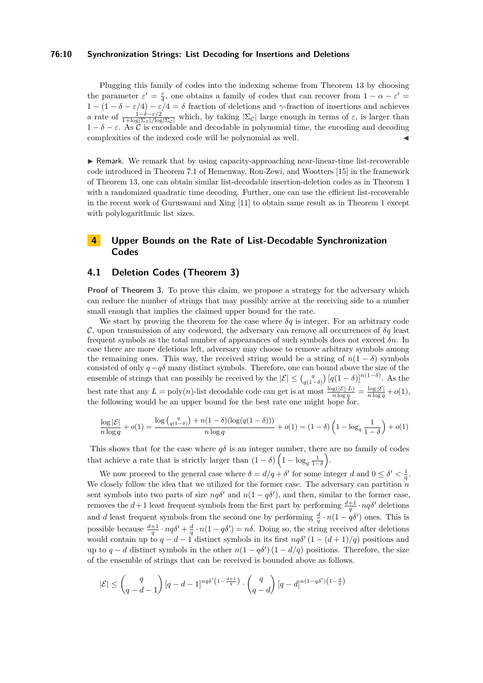#### **76:10 Synchronization Strings: List Decoding for Insertions and Deletions**

Plugging this family of codes into the indexing scheme from Theorem [13](#page-6-1) by choosing the parameter  $\varepsilon' = \frac{\varepsilon}{4}$ , one obtains a family of codes that can recover from  $1 - \alpha - \varepsilon' =$  $1 - (1 - \delta - \varepsilon/4) - \varepsilon/4 = \delta$  fraction of deletions and *γ*-fraction of insertions and achieves a rate of  $\frac{1-\delta-\varepsilon/2}{1+\log|\Sigma_{S}|/\log|\Sigma_{C}|}$  which, by taking  $|\Sigma_{C}|$  large enough in terms of  $\varepsilon$ , is larger than  $1 - \delta - \varepsilon$ . As  $\tilde{\mathcal{C}}$  is encodable and decodable in polynomial time, the encoding and decoding complexities of the indexed code will be polynomial as well.

I Remark. We remark that by using capacity-approaching near-linear-time list-recoverable code introduced in Theorem 7.1 of Hemenway, Ron-Zewi, and Wootters [\[15\]](#page-12-14) in the framework of Theorem [13,](#page-6-1) one can obtain similar list-decodable insertion-deletion codes as in Theorem [1](#page-2-0) with a randomized quadratic time decoding. Further, one can use the efficient list-recoverable in the recent work of Guruswami and Xing [\[11\]](#page-12-4) to obtain same result as in Theorem [1](#page-2-0) except with polylogarithmic list sizes.

# <span id="page-9-0"></span>**4 Upper Bounds on the Rate of List-Decodable Synchronization Codes**

# **4.1 Deletion Codes (Theorem [3\)](#page-3-1)**

**Proof of Theorem [3.](#page-3-1)** To prove this claim, we propose a strategy for the adversary which can reduce the number of strings that may possibly arrive at the receiving side to a number small enough that implies the claimed upper bound for the rate.

We start by proving the theorem for the case where  $\delta q$  is integer. For an arbitrary code  $\mathcal{C}$ , upon transmission of any codeword, the adversary can remove all occurrences of  $\delta q$  least frequent symbols as the total number of appearances of such symbols does not exceed *δn*. In case there are more deletions left, adversary may choose to remove arbitrary symbols among the remaining ones. This way, the received string would be a string of  $n(1 - \delta)$  symbols consisted of only *q*−*qδ* many distinct symbols. Therefore, one can bound above the size of the ensemble of strings that can possibly be received by the  $|\mathcal{E}| \leq {q \choose q(1-\delta)} [q(1-\delta)]^{n(1-\delta)}$ . As the best rate that any  $L = \text{poly}(n)$ -list decodable code can get is at most  $\frac{\log(|\mathcal{E}| \cdot L)}{n \log q} = \frac{\log |\mathcal{E}|}{n \log q} + o(1)$ , the following would be an upper bound for the best rate one might hope for.

$$
\frac{\log |\mathcal{E}|}{n\log q} + o(1) = \frac{\log (a_1 - \delta) + n(1 - \delta)(\log (q(1 - \delta)))}{n\log q} + o(1) = (1 - \delta)\left(1 - \log_q\frac{1}{1 - \delta}\right) + o(1)
$$

This shows that for the case where  $q\delta$  is an integer number, there are no family of codes that achieve a rate that is strictly larger than  $(1 - \delta) \left(1 - \log_q \frac{1}{1 - \delta}\right)$ .

We now proceed to the general case where  $\delta = d/q + \delta'$  for some integer *d* and  $0 \leq \delta' < \frac{1}{q}$ . We closely follow the idea that we utilized for the former case. The adversary can partition *n* sent symbols into two parts of size  $nq\delta'$  and  $n(1 - q\delta')$ , and then, similar to the former case, removes the  $d+1$  least frequent symbols from the first part by performing  $\frac{d+1}{q} \cdot nq\delta'$  deletions and *d* least frequent symbols from the second one by performing  $\frac{d}{q} \cdot n(1 - q\delta')$  ones. This is possible because  $\frac{d+1}{q} \cdot nq\delta' + \frac{d}{q} \cdot n(1-q\delta') = n\delta$ . Doing so, the string received after deletions would contain up to  $q - d - 1$  distinct symbols in its first  $nq\delta'(1 - (d+1)/q)$  positions and up to  $q - d$  distinct symbols in the other  $n(1 - q\delta') (1 - d/q)$  positions. Therefore, the size of the ensemble of strings that can be received is bounded above as follows.

$$
|\mathcal{E}| \le \binom{q}{q-d-1} \left[ q-d-1 \right]^{nq\delta' \left(1-\frac{d+1}{q} \right)} \cdot \binom{q}{q-d} \left[ q-d \right]^{n(1-q\delta') \left(1-\frac{d}{q} \right)}
$$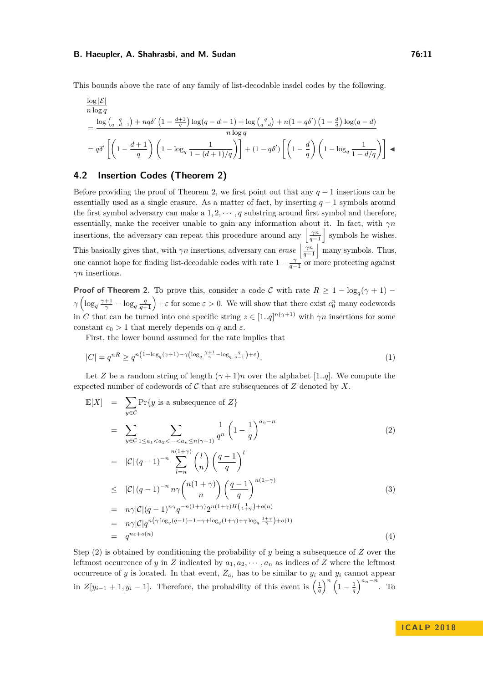This bounds above the rate of any family of list-decodable insdel codes by the following.

$$
\frac{\log |\mathcal{E}|}{n \log q}
$$
\n
$$
= \frac{\log \left( q - \frac{q}{d-1} \right) + n q \delta' \left( 1 - \frac{d+1}{q} \right) \log (q - d - 1) + \log \left( \frac{q}{q - d} \right) + n \left( 1 - q \delta' \right) \left( 1 - \frac{d}{q} \right) \log (q - d)}{n \log q}
$$
\n
$$
= q \delta' \left[ \left( 1 - \frac{d+1}{q} \right) \left( 1 - \log_q \frac{1}{1 - (d+1)/q} \right) \right] + (1 - q \delta') \left[ \left( 1 - \frac{d}{q} \right) \left( 1 - \log_q \frac{1}{1 - d/q} \right) \right] \blacktriangleleft
$$

# **4.2 Insertion Codes (Theorem [2\)](#page-3-0)**

Before providing the proof of Theorem [2,](#page-3-0) we first point out that any *q* − 1 insertions can be essentially used as a single erasure. As a matter of fact, by inserting *q* − 1 symbols around the first symbol adversary can make a  $1, 2, \cdots, q$  substring around first symbol and therefore, essentially, make the receiver unable to gain any information about it. In fact, with *γn* insertions, the adversary can repeat this procedure around any  $\left|\frac{\gamma n}{q-1}\right|$  symbols he wishes. This basically gives that, with  $\gamma n$  insertions, adversary can *erase*  $\left|\frac{\gamma n}{q-1}\right|$  many symbols. Thus, one cannot hope for finding list-decodable codes with rate  $1 - \frac{\gamma}{q-1}$  or more protecting against *γn* insertions.

**Proof of Theorem [2.](#page-3-0)** To prove this, consider a code C with rate  $R \geq 1 - \log_q(\gamma + 1) \gamma \left( \log_q \frac{\gamma+1}{\gamma} - \log_q \frac{q}{q-1} \right) + \varepsilon$  for some  $\varepsilon > 0$ . We will show that there exist  $c_0^n$  many codewords in *C* that can be turned into one specific string  $z \in [1..q]^{n(\gamma+1)}$  with  $\gamma n$  insertions for some constant  $c_0 > 1$  that merely depends on *q* and  $\varepsilon$ .

First, the lower bound assumed for the rate implies that

$$
|C| = q^{nR} \ge q^{n\left(1 - \log_q(\gamma + 1) - \gamma \left(\log_q \frac{\gamma + 1}{\gamma} - \log_q \frac{q}{q - 1}\right) + \varepsilon\right)}.
$$
\n<sup>(1)</sup>

Let *Z* be a random string of length  $(\gamma + 1)n$  over the alphabet [1*..q*]. We compute the expected number of codewords of  $\mathcal C$  that are subsequences of  $Z$  denoted by  $X$ .

<span id="page-10-0"></span>
$$
\mathbb{E}[X] = \sum_{y \in C} \Pr\{y \text{ is a subsequence of } Z\}
$$
\n
$$
= \sum_{y \in C} \sum_{1 \le a_1 < a_2 < \dots < a_n \le n(\gamma+1)} \frac{1}{q^n} \left(1 - \frac{1}{q}\right)^{a_n - n} \tag{2}
$$
\n
$$
= |C| (q - 1)^{-n} \sum_{l=n}^{n(1+\gamma)} {l \choose n} \left(\frac{q-1}{q}\right)^l
$$
\n
$$
\leq |C| (q - 1)^{-n} n \gamma {n(1 + \gamma) \choose n} \left(\frac{q-1}{q}\right)^{n(1+\gamma)} \tag{3}
$$
\n
$$
= n \gamma |C| (q - 1)^{n\gamma} q^{-n(1+\gamma)} 2^{n(1+\gamma)H\left(\frac{1}{1+\gamma}\right) + o(n)}
$$
\n
$$
= n \gamma |C| q^{n(\gamma \log_q(q-1) - 1 - \gamma + \log_q(1+\gamma) + \gamma \log_q \frac{1+\gamma}{\gamma}) + o(1)}
$$
\n
$$
= q^{n\varepsilon + o(n)} \tag{4}
$$

Step [\(2\)](#page-10-0) is obtained by conditioning the probability of *y* being a subsequence of *Z* over the leftmost occurrence of *y* in *Z* indicated by  $a_1, a_2, \dots, a_n$  as indices of *Z* where the leftmost occurrence of *y* is located. In that event,  $Z_{a_i}$  has to be similar to  $y_i$  and  $y_i$  cannot appear in  $Z[y_{i-1} + 1, y_i - 1]$ . Therefore, the probability of this event is  $\left(\frac{1}{q}\right)^n \left(1 - \frac{1}{q}\right)^{a_n - n}$ . To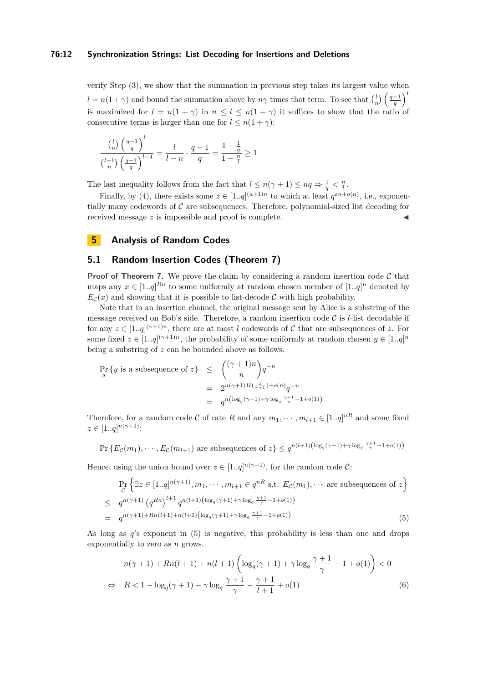#### **76:12 Synchronization Strings: List Decoding for Insertions and Deletions**

verify Step [\(3\)](#page-10-0), we show that the summation in previous step takes its largest value when  $l = n(1 + \gamma)$  and bound the summation above by  $n\gamma$  times that term. To see that  $\binom{l}{n}\left(\frac{q-1}{q}\right)^l$ is maximized for  $l = n(1 + \gamma)$  in  $n \leq l \leq n(1 + \gamma)$  it suffices to show that the ratio of consecutive terms is larger than one for  $l \leq n(1 + \gamma)$ :

$$
\frac{\binom{l}{n}\left(\frac{q-1}{q}\right)^l}{\binom{l-1}{n}\left(\frac{q-1}{q}\right)^{l-1}} = \frac{l}{l-n} \cdot \frac{q-1}{q} = \frac{1-\frac{1}{q}}{1-\frac{n}{l}} \ge 1
$$

The last inequality follows from the fact that  $l \leq n(\gamma + 1) \leq nq \Rightarrow \frac{1}{q} < \frac{n}{l}$ .

Finally, by [\(4\)](#page-10-0), there exists some  $z \in [1..q]^{(a+1)n}$  to which at least  $q^{\varepsilon n+o(n)}$ , i.e., exponentially many codewords of  $C$  are subsequences. Therefore, polynomial-sized list decoding for received message *z* is impossible and proof is complete.

# <span id="page-11-0"></span>**5 Analysis of Random Codes**

## **5.1 Random Insertion Codes (Theorem [7\)](#page-5-0)**

**Proof of Theorem [7.](#page-5-0)** We prove the claim by considering a random insertion code  $\mathcal{C}$  that maps any  $x \in [1..q]^{Rn}$  to some uniformly at random chosen member of  $[1..q]^{n}$  denoted by  $E_c(x)$  and showing that it is possible to list-decode C with high probability.

Note that in an insertion channel, the original message sent by Alice is a substring of the message received on Bob's side. Therefore, a random insertion code  $\mathcal C$  is *l*-list decodable if for any  $z \in [1..q]^{(\gamma+1)n}$ , there are at most *l* codewords of C that are subsequences of z. For some fixed  $z \in [1..q]^{(\gamma+1)n}$ , the probability of some uniformly at random chosen  $y \in [1..q]^{n}$ being a substring of *z* can be bounded above as follows.

$$
\Pr_{y} \{ y \text{ is a subsequence of } z \} \leq {(\gamma + 1)n \choose n} q^{-n}
$$
  
= 
$$
2^{n(\gamma + 1)H(\frac{1}{\gamma + 1}) + o(n)} q^{-n}
$$
  
= 
$$
q^{n(\log_q(\gamma + 1) + \gamma \log_q \frac{\gamma + 1}{\gamma} - 1 + o(1))}
$$

Therefore, for a random code C of rate R and any  $m_1, \dots, m_{l+1} \in [1..q]^{nR}$  and some fixed  $z \in [1..q]^{n(\gamma+1)}$ :

$$
\Pr\left\{E_{\mathcal{C}}(m_1),\cdots,E_{\mathcal{C}}(m_{l+1})\right\} \text{ are subsequences of } z\right\} \le q^{n(l+1)\left(\log_q(\gamma+1)+\gamma\log_q\frac{\gamma+1}{\gamma}-1+o(1)\right)}
$$

Hence, using the union bound over  $z \in [1..q]^{n(\gamma+1)}$ , for the random code C:

<span id="page-11-1"></span>
$$
\Pr_{\mathcal{C}}\left\{\exists z \in [1..q]^{n(\gamma+1)}, m_1, \cdots, m_{l+1} \in q^{nR} \text{ s.t. } E_{\mathcal{C}}(m_1), \cdots \text{ are subsequences of } z\right\}
$$
\n
$$
\leq q^{n(\gamma+1)} \left(q^{Rn}\right)^{l+1} q^{n(l+1)\left(\log_q(\gamma+1) + \gamma \log_q \frac{\gamma+1}{\gamma} - 1 + o(1)\right)}
$$
\n
$$
= q^{n(\gamma+1) + Rn(l+1) + n(l+1)\left(\log_q(\gamma+1) + \gamma \log_q \frac{\gamma+1}{\gamma} - 1 + o(1)\right)} \tag{5}
$$

As long as *q*'s exponent in [\(5\)](#page-11-1) is negative, this probability is less than one and drops exponentially to zero as *n* grows.

<span id="page-11-2"></span>
$$
n(\gamma + 1) + Rn(l+1) + n(l+1) \left( \log_q(\gamma + 1) + \gamma \log_q \frac{\gamma + 1}{\gamma} - 1 + o(1) \right) < 0
$$
\n
$$
\Leftrightarrow \quad R < 1 - \log_q(\gamma + 1) - \gamma \log_q \frac{\gamma + 1}{\gamma} - \frac{\gamma + 1}{l+1} + o(1) \tag{6}
$$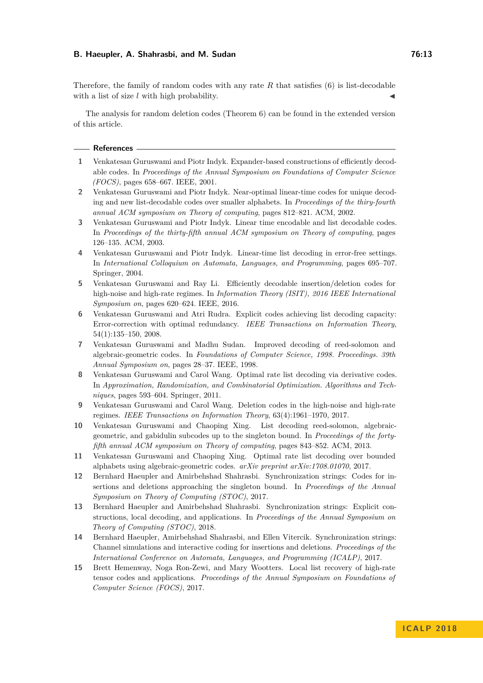Therefore, the family of random codes with any rate *R* that satisfies [\(6\)](#page-11-2) is list-decodable with a list of size  $l$  with high probability.

The analysis for random deletion codes (Theorem [6\)](#page-4-2) can be found in the extended version of this article.

#### **References**

- <span id="page-12-8"></span>**1** Venkatesan Guruswami and Piotr Indyk. Expander-based constructions of efficiently decodable codes. In *Proceedings of the Annual Symposium on Foundations of Computer Science (FOCS)*, pages 658–667. IEEE, 2001.
- <span id="page-12-9"></span>**2** Venkatesan Guruswami and Piotr Indyk. Near-optimal linear-time codes for unique decoding and new list-decodable codes over smaller alphabets. In *Proceedings of the thiry-fourth annual ACM symposium on Theory of computing*, pages 812–821. ACM, 2002.
- <span id="page-12-10"></span>**3** Venkatesan Guruswami and Piotr Indyk. Linear time encodable and list decodable codes. In *Proceedings of the thirty-fifth annual ACM symposium on Theory of computing*, pages 126–135. ACM, 2003.
- <span id="page-12-11"></span>**4** Venkatesan Guruswami and Piotr Indyk. Linear-time list decoding in error-free settings. In *International Colloquium on Automata, Languages, and Programming*, pages 695–707. Springer, 2004.
- <span id="page-12-2"></span>**5** Venkatesan Guruswami and Ray Li. Efficiently decodable insertion/deletion codes for high-noise and high-rate regimes. In *Information Theory (ISIT), 2016 IEEE International Symposium on*, pages 620–624. IEEE, 2016.
- <span id="page-12-3"></span>**6** Venkatesan Guruswami and Atri Rudra. Explicit codes achieving list decoding capacity: Error-correction with optimal redundancy. *IEEE Transactions on Information Theory*, 54(1):135–150, 2008.
- <span id="page-12-7"></span>**7** Venkatesan Guruswami and Madhu Sudan. Improved decoding of reed-solomon and algebraic-geometric codes. In *Foundations of Computer Science, 1998. Proceedings. 39th Annual Symposium on*, pages 28–37. IEEE, 1998.
- <span id="page-12-12"></span>**8** Venkatesan Guruswami and Carol Wang. Optimal rate list decoding via derivative codes. In *Approximation, Randomization, and Combinatorial Optimization. Algorithms and Techniques*, pages 593–604. Springer, 2011.
- <span id="page-12-1"></span>**9** Venkatesan Guruswami and Carol Wang. Deletion codes in the high-noise and high-rate regimes. *IEEE Transactions on Information Theory*, 63(4):1961–1970, 2017.
- <span id="page-12-13"></span>**10** Venkatesan Guruswami and Chaoping Xing. List decoding reed-solomon, algebraicgeometric, and gabidulin subcodes up to the singleton bound. In *Proceedings of the fortyfifth annual ACM symposium on Theory of computing*, pages 843–852. ACM, 2013.
- <span id="page-12-4"></span>**11** Venkatesan Guruswami and Chaoping Xing. Optimal rate list decoding over bounded alphabets using algebraic-geometric codes. *arXiv preprint arXiv:1708.01070*, 2017.
- <span id="page-12-0"></span>**12** Bernhard Haeupler and Amirbehshad Shahrasbi. Synchronization strings: Codes for insertions and deletions approaching the singleton bound. In *Proceedings of the Annual Symposium on Theory of Computing (STOC)*, 2017.
- <span id="page-12-5"></span>**13** Bernhard Haeupler and Amirbehshad Shahrasbi. Synchronization strings: Explicit constructions, local decoding, and applications. In *Proceedings of the Annual Symposium on Theory of Computing (STOC)*, 2018.
- <span id="page-12-6"></span>**14** Bernhard Haeupler, Amirbehshad Shahrasbi, and Ellen Vitercik. Synchronization strings: Channel simulations and interactive coding for insertions and deletions. *Proceedings of the International Conference on Automata, Languages, and Programming (ICALP)*, 2017.
- <span id="page-12-14"></span>**15** Brett Hemenway, Noga Ron-Zewi, and Mary Wootters. Local list recovery of high-rate tensor codes and applications. *Proceedings of the Annual Symposium on Foundations of Computer Science (FOCS)*, 2017.